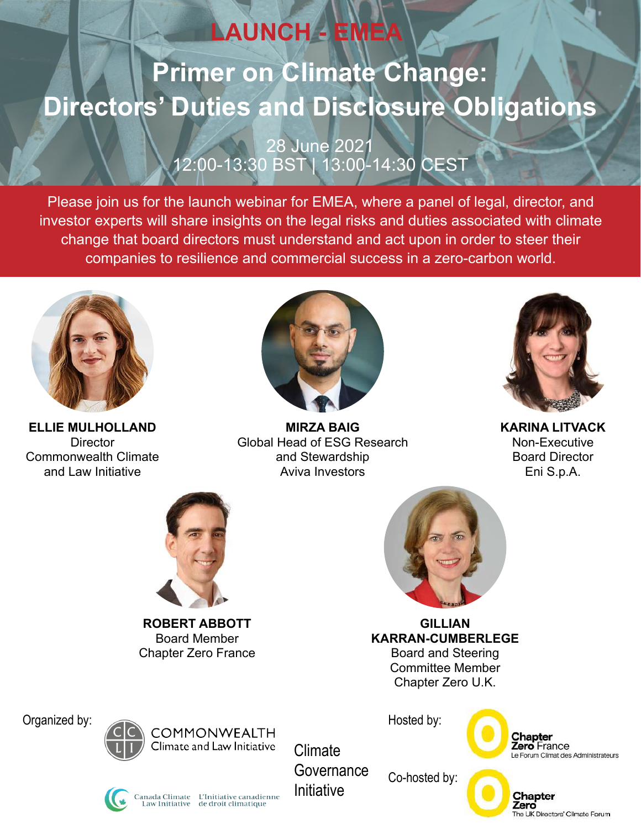## **LAUNCH - EMEA**

# **Primer on Climate Change: Directors' Duties and Disclosure Obligations**

28 June 2021 12:00-13:30 BST | 13:00-14:30 CEST

Please join us for the launch webinar for EMEA, where a panel of legal, director, and investor experts will share insights on the legal risks and duties associated with climate change that board directors must understand and act upon in order to steer their companies to resilience and commercial success in a zero-carbon world.



**ELLIE MULHOLLAND Director** Commonwealth Climate and Law Initiative



**MIRZA BAIG** Global Head of ESG Research and Stewardship Aviva Investors



**KARINA LITVACK** Non-Executive Board Director Eni S.p.A.



**ROBERT ABBOTT** Board Member Chapter Zero France



**GILLIAN KARRAN-CUMBERLEGE** Board and Steering Committee Member Chapter Zero U.K.

Organized by:



**COMMONWEALTH** Climate and Law Initiative



Climate Governance **Initiative** 

Co-hosted by:

Hosted by:



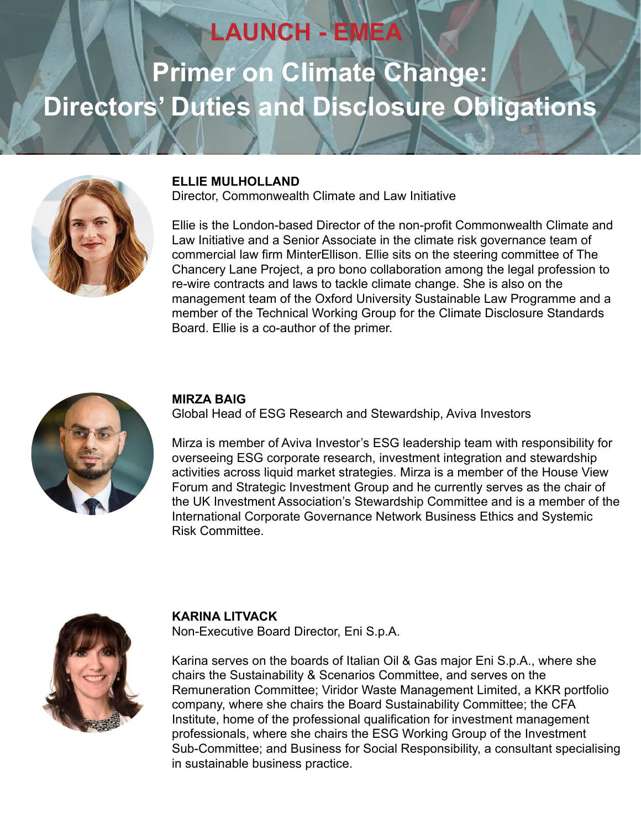# **Primer on Climate Change: Directors' Duties and Disclosure Obligations LAUNCH - EMEA**



#### **ELLIE MULHOLLAND**

Director, Commonwealth Climate and Law Initiative

Ellie is the London-based Director of the non-profit Commonwealth Climate and Law Initiative and a Senior Associate in the climate risk governance team of commercial law firm MinterEllison. Ellie sits on the steering committee of The Chancery Lane Project, a pro bono collaboration among the legal profession to re-wire contracts and laws to tackle climate change. She is also on the management team of the Oxford University Sustainable Law Programme and a member of the Technical Working Group for the Climate Disclosure Standards Board. Ellie is a co-author of the primer.



#### **MIRZA BAIG**

Global Head of ESG Research and Stewardship, Aviva Investors

Mirza is member of Aviva Investor's ESG leadership team with responsibility for overseeing ESG corporate research, investment integration and stewardship activities across liquid market strategies. Mirza is a member of the House View Forum and Strategic Investment Group and he currently serves as the chair of the UK Investment Association's Stewardship Committee and is a member of the International Corporate Governance Network Business Ethics and Systemic Risk Committee.



### **KARINA LITVACK**

Non-Executive Board Director, Eni S.p.A.

Karina serves on the boards of Italian Oil & Gas major Eni S.p.A., where she chairs the Sustainability & Scenarios Committee, and serves on the Remuneration Committee; Viridor Waste Management Limited, a KKR portfolio company, where she chairs the Board Sustainability Committee; the CFA Institute, home of the professional qualification for investment management professionals, where she chairs the ESG Working Group of the Investment Sub-Committee; and Business for Social Responsibility, a consultant specialising in sustainable business practice.